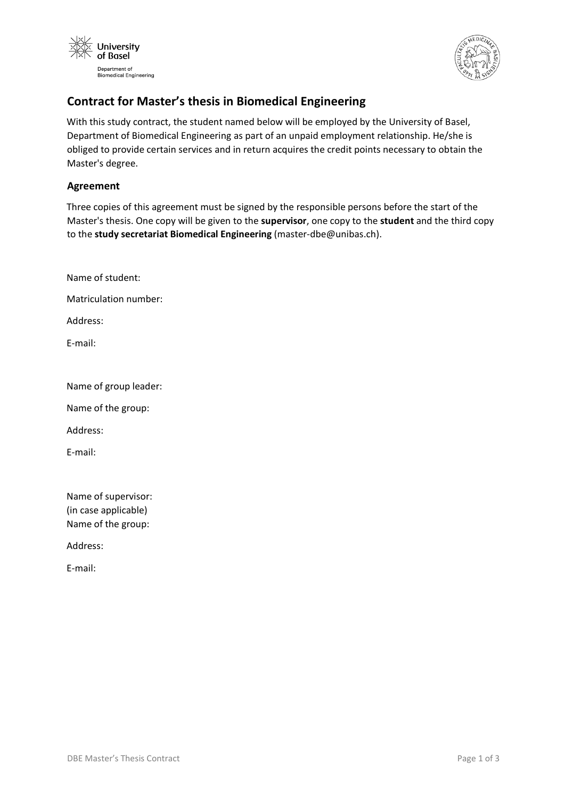



# **Contract for Master's thesis in Biomedical Engineering**

With this study contract, the student named below will be employed by the University of Basel, Department of Biomedical Engineering as part of an unpaid employment relationship. He/she is obliged to provide certain services and in return acquires the credit points necessary to obtain the Master's degree.

## **Agreement**

Three copies of this agreement must be signed by the responsible persons before the start of the Master's thesis. One copy will be given to the **supervisor**, one copy to the **student** and the third copy to the **study secretariat Biomedical Engineering** (master-dbe@unibas.ch).

Name of student:

Matriculation number:

Address:

E-mail:

Name of group leader:

Name of the group:

Address:

E-mail:

Name of supervisor: (in case applicable) Name of the group:

Address:

E-mail: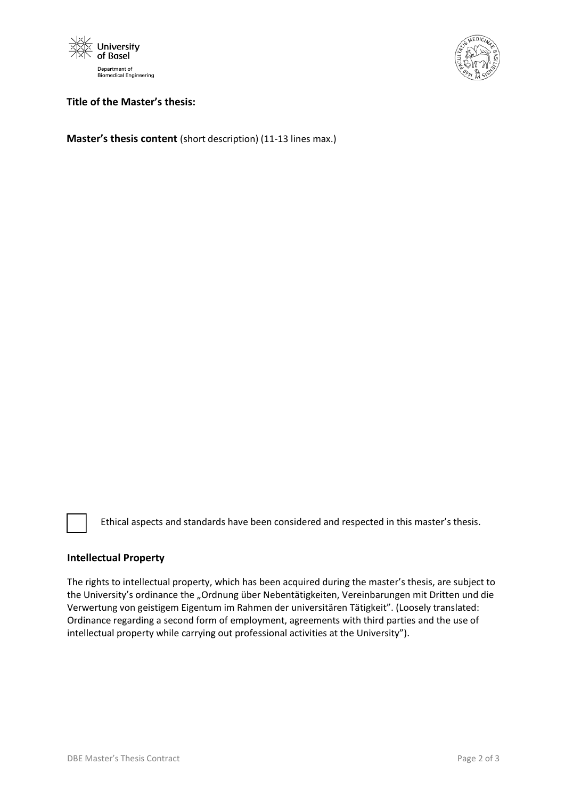



### **Title of the Master's thesis:**

**Master's thesis content** (short description) (11-13 lines max.)

Ethical aspects and standards have been considered and respected in this master's thesis.

#### **Intellectual Property**

The rights to intellectual property, which has been acquired during the master's thesis, are subject to the University's ordinance the "Ordnung über Nebentätigkeiten, Vereinbarungen mit Dritten und die Verwertung von geistigem Eigentum im Rahmen der universitären Tätigkeit". (Loosely translated: Ordinance regarding a second form of employment, agreements with third parties and the use of intellectual property while carrying out professional activities at the University").